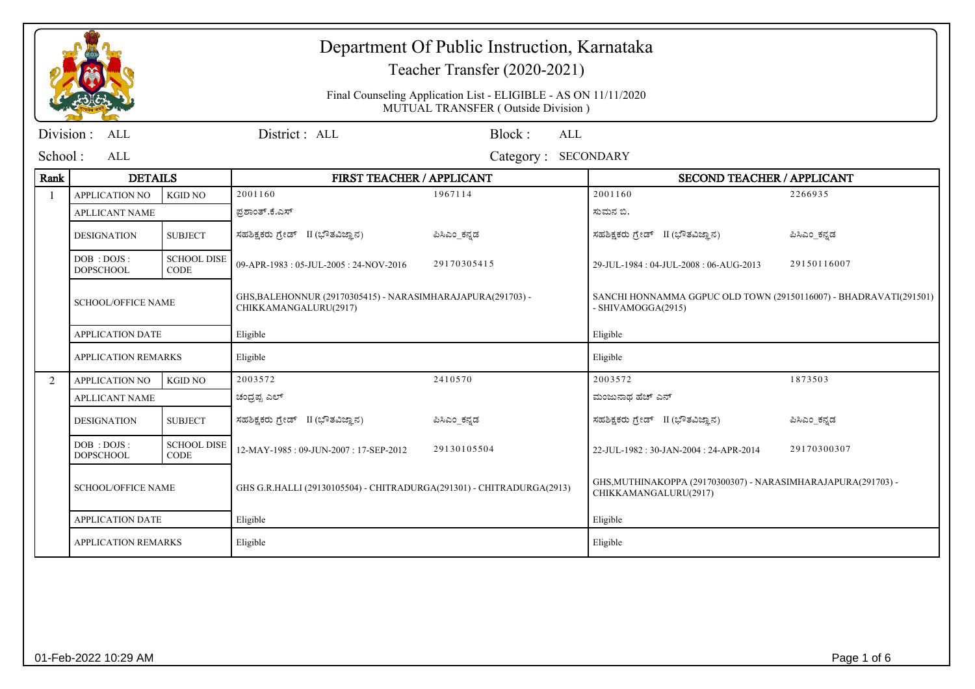## Department Of Public Instruction, Karnataka

Teacher Transfer (2020-2021)

Final Counseling Application List - ELIGIBLE - AS ON 11/11/2020MUTUAL TRANSFER ( Outside Division )

|              | Division : ALL                   |                                   | District: ALL                                                                        | Block:              | AI. |                                                                                         |              |
|--------------|----------------------------------|-----------------------------------|--------------------------------------------------------------------------------------|---------------------|-----|-----------------------------------------------------------------------------------------|--------------|
| School:      | ALL                              |                                   |                                                                                      | Category: SECONDARY |     |                                                                                         |              |
| Rank         | <b>DETAILS</b>                   |                                   | FIRST TEACHER / APPLICANT                                                            |                     |     | <b>SECOND TEACHER / APPLICANT</b>                                                       |              |
| $\mathbf{1}$ | <b>APPLICATION NO</b>            | <b>KGID NO</b>                    | 2001160                                                                              | 1967114             |     | 2001160                                                                                 | 2266935      |
|              | <b>APLLICANT NAME</b>            |                                   | ಪ್ರಶಾಂತ್.ಕೆ.ಎಸ್                                                                      |                     |     | ಸುಮನ ಬಿ.                                                                                |              |
|              | <b>DESIGNATION</b>               | <b>SUBJECT</b>                    | ಸಹಶಿಕ್ಷಕರು ಗ್ರೇಡ್ II (ಭೌತವಿಜ್ಞಾನ)                                                    | ಪಿಸಿಎಂ ಕನ್ನಡ        |     | ಸಹಶಿಕ್ಷಕರು ಗ್ರೇಡ್ II (ಭೌತವಿಜ್ಞಾನ)                                                       | ಪಿಸಿಎಂ_ಕನ್ನಡ |
|              | DOB : DOJS :<br><b>DOPSCHOOL</b> | <b>SCHOOL DISE</b><br><b>CODE</b> | 09-APR-1983: 05-JUL-2005: 24-NOV-2016                                                | 29170305415         |     | 29-JUL-1984: 04-JUL-2008: 06-AUG-2013                                                   | 29150116007  |
|              | <b>SCHOOL/OFFICE NAME</b>        |                                   | GHS, BALEHONNUR (29170305415) - NARASIMHARAJAPURA(291703) -<br>CHIKKAMANGALURU(2917) |                     |     | SANCHI HONNAMMA GGPUC OLD TOWN (29150116007) - BHADRAVATI(291501)<br>- SHIVAMOGGA(2915) |              |
|              | <b>APPLICATION DATE</b>          |                                   | Eligible                                                                             |                     |     | Eligible                                                                                |              |
|              | <b>APPLICATION REMARKS</b>       |                                   | Eligible                                                                             |                     |     | Eligible                                                                                |              |
| 2            | <b>APPLICATION NO</b>            | KGID NO                           | 2003572                                                                              | 2410570             |     | 2003572                                                                                 | 1873503      |
|              | <b>APLLICANT NAME</b>            |                                   | ಚಂಧ್ರಪ್ಪ ಎಲ್                                                                         |                     |     | ಮಂಜುನಾಥ ಹೆಚ್ ಎನ್                                                                        |              |
|              | <b>DESIGNATION</b>               | <b>SUBJECT</b>                    | ಸಹಶಿಕ್ಷಕರು ಗ್ರೇಡ್ II (ಭೌತವಿಜ್ಞಾನ)                                                    | ಪಿಸಿಎಂ ಕನ್ನಡ        |     | ಸಹಶಿಕ್ಷಕರು ಗ್ರೇಡ್ II (ಭೌತವಿಜ್ಞಾನ)                                                       | ಪಿಸಿಎಂ ಕನ್ನಡ |
|              | DOB : DOJS :<br><b>DOPSCHOOL</b> | <b>SCHOOL DISE</b><br><b>CODE</b> | 12-MAY-1985: 09-JUN-2007: 17-SEP-2012                                                | 29130105504         |     | 22-JUL-1982: 30-JAN-2004: 24-APR-2014                                                   | 29170300307  |
|              | <b>SCHOOL/OFFICE NAME</b>        |                                   | GHS G.R.HALLI (29130105504) - CHITRADURGA(291301) - CHITRADURGA(2913)                |                     |     | GHS, MUTHINAKOPPA (29170300307) - NARASIMHARAJAPURA(291703) -<br>CHIKKAMANGALURU(2917)  |              |
|              | <b>APPLICATION DATE</b>          |                                   | Eligible                                                                             |                     |     | Eligible                                                                                |              |
|              | APPLICATION REMARKS              |                                   | Eligible                                                                             |                     |     | Eligible                                                                                |              |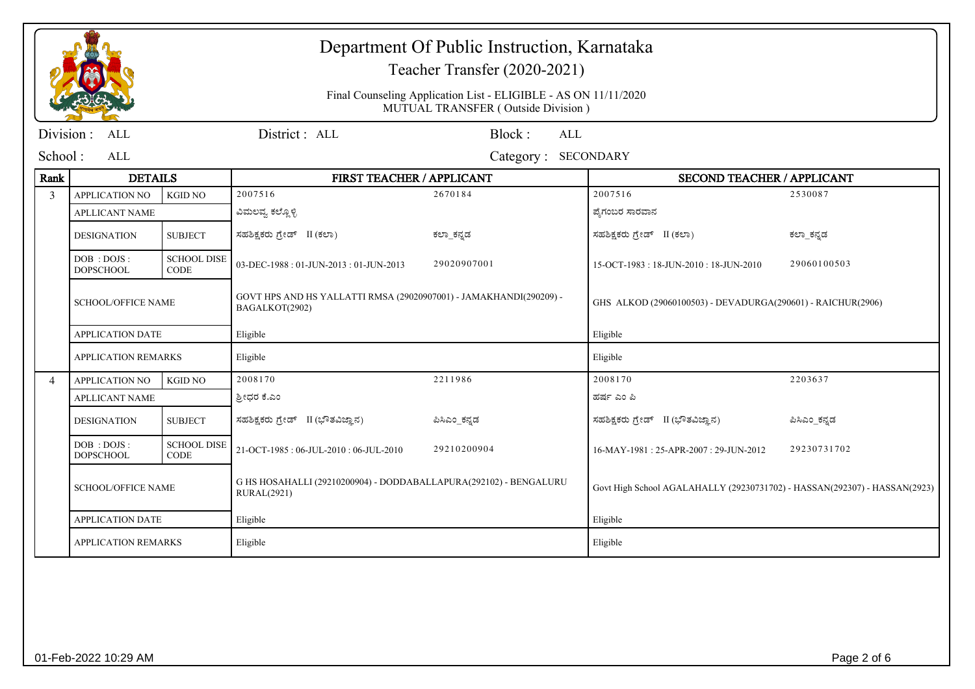|                                     | Department Of Public Instruction, Karnataka<br>Teacher Transfer (2020-2021)<br>Final Counseling Application List - ELIGIBLE - AS ON 11/11/2020 |                                   |                                                                                         |                                    |                                                                           |              |
|-------------------------------------|------------------------------------------------------------------------------------------------------------------------------------------------|-----------------------------------|-----------------------------------------------------------------------------------------|------------------------------------|---------------------------------------------------------------------------|--------------|
|                                     |                                                                                                                                                |                                   |                                                                                         | MUTUAL TRANSFER (Outside Division) |                                                                           |              |
| Division :                          | ALL                                                                                                                                            |                                   | District : ALL                                                                          | Block:<br>ALL                      |                                                                           |              |
| School:                             | ALL                                                                                                                                            |                                   |                                                                                         | Category: SECONDARY                |                                                                           |              |
| Rank                                | <b>DETAILS</b>                                                                                                                                 |                                   | FIRST TEACHER / APPLICANT                                                               |                                    | <b>SECOND TEACHER / APPLICANT</b>                                         |              |
| 3                                   | <b>APPLICATION NO</b>                                                                                                                          | <b>KGID NO</b>                    | 2007516                                                                                 | 2670184                            | 2007516                                                                   | 2530087      |
|                                     | <b>APLLICANT NAME</b>                                                                                                                          |                                   | ವಿಮಲವ್ಯ ಕಲ್ಲೊಳ್ಳಿ                                                                       |                                    | ಪ್ಶೆಗಂಬರ ಸಾರವಾನ                                                           |              |
|                                     | <b>DESIGNATION</b>                                                                                                                             | <b>SUBJECT</b>                    | ಸಹಶಿಕ್ಷಕರು ಗ್ರೇಡ್ II (ಕಲಾ)                                                              | ಕಲ್_ಕನ್ನಡ                          | ಸಹಶಿಕ್ಷಕರು ಗ್ರೇಡ್ II (ಕಲಾ)                                                | ಕಲ್_ಕನ್ನಡ    |
|                                     | DOB : DOJS :<br><b>DOPSCHOOL</b>                                                                                                               | <b>SCHOOL DISE</b><br><b>CODE</b> | 03-DEC-1988: 01-JUN-2013: 01-JUN-2013                                                   | 29020907001                        | 15-OCT-1983: 18-JUN-2010: 18-JUN-2010                                     | 29060100503  |
|                                     | <b>SCHOOL/OFFICE NAME</b>                                                                                                                      |                                   | GOVT HPS AND HS YALLATTI RMSA (29020907001) - JAMAKHANDI(290209) -<br>BAGALKOT(2902)    |                                    | GHS ALKOD (29060100503) - DEVADURGA(290601) - RAICHUR(2906)               |              |
| <b>APPLICATION DATE</b><br>Eligible |                                                                                                                                                |                                   |                                                                                         | Eligible                           |                                                                           |              |
|                                     | <b>APPLICATION REMARKS</b><br>Eligible                                                                                                         |                                   |                                                                                         |                                    | Eligible                                                                  |              |
| $\Delta$                            | <b>APPLICATION NO</b>                                                                                                                          | KGID NO                           | 2008170                                                                                 | 2211986                            | 2008170                                                                   | 2203637      |
|                                     | <b>APLLICANT NAME</b>                                                                                                                          |                                   | ಶ್ರೀಧರ ಕೆ.ಎಂ                                                                            |                                    | ಹರ್ಷ ಎಂ ಪಿ                                                                |              |
|                                     | <b>DESIGNATION</b><br><b>SUBJECT</b>                                                                                                           |                                   | ಸಹಶಿಕ್ಷಕರು ಗ್ರೇಡ್ II (ಭೌತವಿಜ್ಞಾನ)                                                       | ಪಿಸಿಎಂ_ಕನ್ನಡ                       | ಸಹಶಿಕ್ಷಕರು ಗ್ರೇಡ್ II (ಭೌತವಿಜ್ಞಾನ)                                         | ಪಿಸಿಎಂ_ಕನ್ನಡ |
|                                     | DOB : DOJS :<br><b>DOPSCHOOL</b>                                                                                                               | <b>SCHOOL DISE</b><br><b>CODE</b> | 21-OCT-1985: 06-JUL-2010: 06-JUL-2010                                                   | 29210200904                        | 16-MAY-1981: 25-APR-2007: 29-JUN-2012                                     | 29230731702  |
|                                     | <b>SCHOOL/OFFICE NAME</b>                                                                                                                      |                                   | G HS HOSAHALLI (29210200904) - DODDABALLAPURA(292102) - BENGALURU<br><b>RURAL(2921)</b> |                                    | Govt High School AGALAHALLY (29230731702) - HASSAN(292307) - HASSAN(2923) |              |
|                                     | <b>APPLICATION DATE</b>                                                                                                                        |                                   | Eligible                                                                                |                                    | Eligible                                                                  |              |
|                                     | <b>APPLICATION REMARKS</b>                                                                                                                     |                                   | Eligible                                                                                |                                    | Eligible                                                                  |              |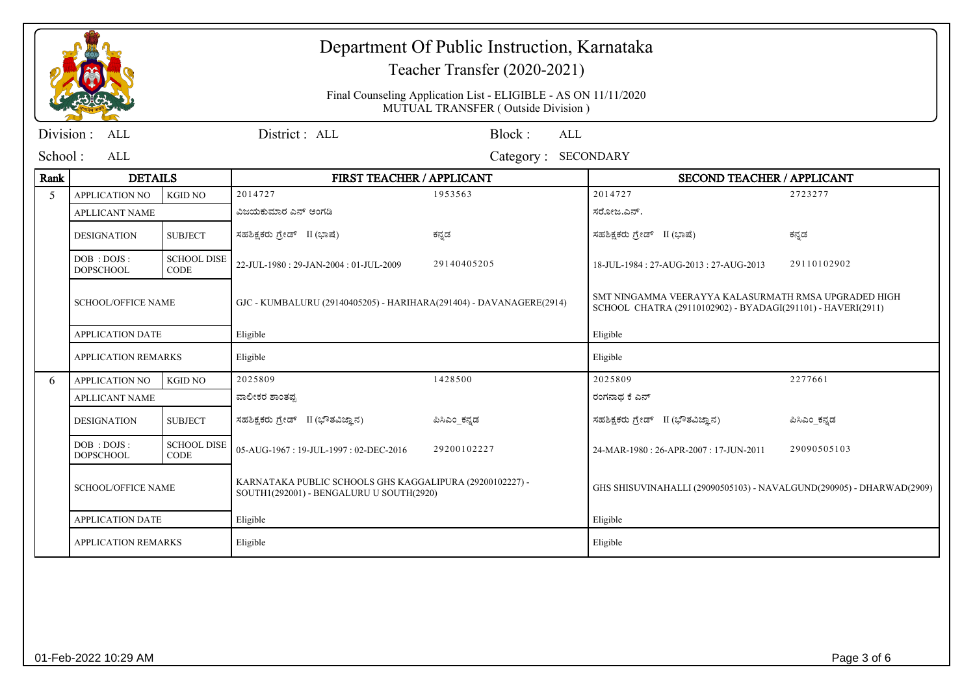|           |                                                      |                                   |                                                                                                      | Department Of Public Instruction, Karnataka<br>Teacher Transfer (2020-2021)                           |                                                                                                                      |              |
|-----------|------------------------------------------------------|-----------------------------------|------------------------------------------------------------------------------------------------------|-------------------------------------------------------------------------------------------------------|----------------------------------------------------------------------------------------------------------------------|--------------|
|           |                                                      |                                   |                                                                                                      | Final Counseling Application List - ELIGIBLE - AS ON 11/11/2020<br>MUTUAL TRANSFER (Outside Division) |                                                                                                                      |              |
| Division: | <b>ALL</b>                                           |                                   | District: ALL                                                                                        | Block:<br>ALL                                                                                         |                                                                                                                      |              |
| School:   | <b>ALL</b>                                           |                                   |                                                                                                      | Category: SECONDARY                                                                                   |                                                                                                                      |              |
| Rank      | <b>DETAILS</b>                                       |                                   | FIRST TEACHER / APPLICANT                                                                            |                                                                                                       | <b>SECOND TEACHER / APPLICANT</b>                                                                                    |              |
| 5         | <b>APPLICATION NO</b>                                | <b>KGID NO</b>                    | 2014727                                                                                              | 1953563                                                                                               | 2014727                                                                                                              | 2723277      |
|           | <b>APLLICANT NAME</b>                                |                                   | ವಿಜಯಕುಮಾರ ಎನ್ ಅಂಗಡಿ                                                                                  |                                                                                                       | ಸರೋಜ.ಎನ್.                                                                                                            |              |
|           | <b>DESIGNATION</b>                                   | <b>SUBJECT</b>                    | ಸಹಶಿಕ್ಷಕರು ಗ್ರೇಡ್ II (ಭಾಷೆ)                                                                          | ಕನ್ನಡ                                                                                                 | ಸಹಶಿಕ್ಷಕರು ಗ್ರೇಡ್ II (ಭಾಷೆ)                                                                                          | ಕನ್ನಡ        |
|           | DOB : DOJS :<br><b>DOPSCHOOL</b>                     | <b>SCHOOL DISE</b><br><b>CODE</b> | 22-JUL-1980: 29-JAN-2004: 01-JUL-2009                                                                | 29140405205                                                                                           | 18-JUL-1984 : 27-AUG-2013 : 27-AUG-2013                                                                              | 29110102902  |
|           | <b>SCHOOL/OFFICE NAME</b><br><b>APPLICATION DATE</b> |                                   | GJC - KUMBALURU (29140405205) - HARIHARA(291404) - DAVANAGERE(2914)                                  |                                                                                                       | SMT NINGAMMA VEERAYYA KALASURMATH RMSA UPGRADED HIGH<br>SCHOOL CHATRA (29110102902) - BYADAGI(291101) - HAVERI(2911) |              |
|           |                                                      |                                   | Eligible                                                                                             |                                                                                                       | Eligible                                                                                                             |              |
|           | <b>APPLICATION REMARKS</b>                           |                                   | Eligible                                                                                             |                                                                                                       | Eligible                                                                                                             |              |
| 6         | <b>APPLICATION NO</b><br><b>KGID NO</b>              |                                   | 2025809                                                                                              | 1428500                                                                                               | 2025809                                                                                                              | 2277661      |
|           | <b>APLLICANT NAME</b>                                |                                   | ವಾಲೀಕರ ಶಾಂತಪ್ಪ                                                                                       |                                                                                                       | ರಂಗನಾಥ ಕೆ ಎನ್                                                                                                        |              |
|           | <b>DESIGNATION</b>                                   | <b>SUBJECT</b>                    | ಸಹಶಿಕ್ಷಕರು ಗ್ರೇಡ್ II (ಭೌತವಿಜ್ಞಾನ)                                                                    | ಪಿಸಿಎಂ_ಕನ್ನಡ                                                                                          | ಸಹಶಿಕ್ಷಕರು ಗ್ರೇಡ್ II (ಭೌತವಿಜ್ಞಾನ)                                                                                    | ಪಿಸಿಎಂ_ಕನ್ನಡ |
|           | DOB : DOJS :<br><b>DOPSCHOOL</b>                     | <b>SCHOOL DISE</b><br><b>CODE</b> | 05-AUG-1967: 19-JUL-1997: 02-DEC-2016                                                                | 29200102227                                                                                           | 24-MAR-1980: 26-APR-2007: 17-JUN-2011                                                                                | 29090505103  |
|           | <b>SCHOOL/OFFICE NAME</b>                            |                                   | KARNATAKA PUBLIC SCHOOLS GHS KAGGALIPURA (29200102227) -<br>SOUTH1(292001) - BENGALURU U SOUTH(2920) |                                                                                                       | GHS SHISUVINAHALLI (29090505103) - NAVALGUND(290905) - DHARWAD(2909)                                                 |              |
|           | <b>APPLICATION DATE</b>                              |                                   | Eligible                                                                                             |                                                                                                       | Eligible                                                                                                             |              |
|           | <b>APPLICATION REMARKS</b>                           |                                   | Eligible                                                                                             |                                                                                                       | Eligible                                                                                                             |              |

01-Feb-2022 10:29 AM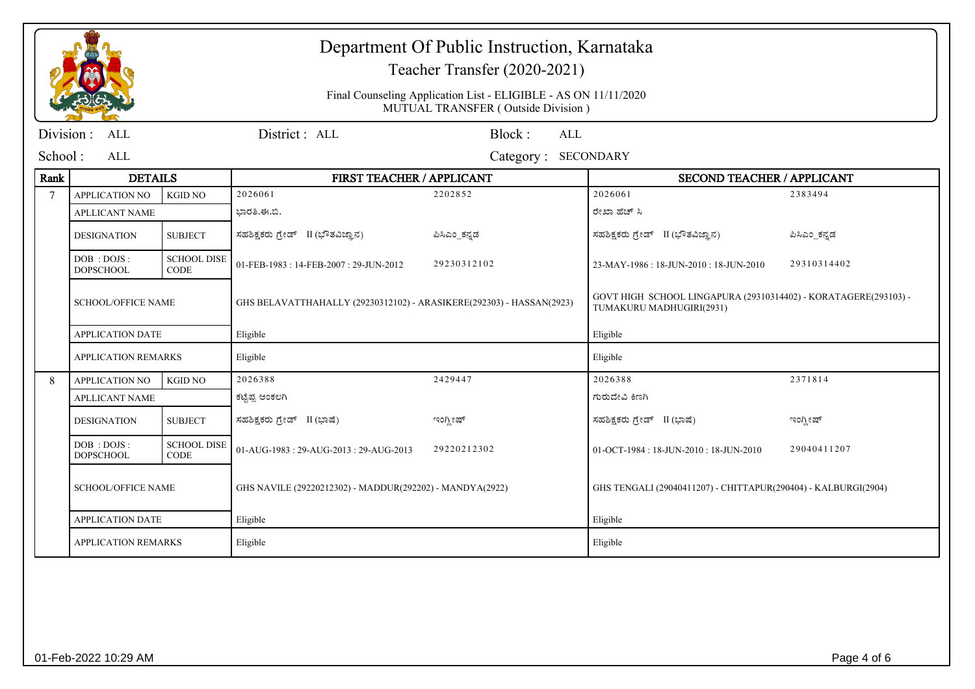|                |                                     |                                   |                                                                      | Department Of Public Instruction, Karnataka<br>Teacher Transfer (2020-2021)                           |                                                                                             |              |  |  |
|----------------|-------------------------------------|-----------------------------------|----------------------------------------------------------------------|-------------------------------------------------------------------------------------------------------|---------------------------------------------------------------------------------------------|--------------|--|--|
|                |                                     |                                   |                                                                      | Final Counseling Application List - ELIGIBLE - AS ON 11/11/2020<br>MUTUAL TRANSFER (Outside Division) |                                                                                             |              |  |  |
| Division :     | <b>ALL</b>                          |                                   | District: ALL                                                        | Block:<br>ALL                                                                                         |                                                                                             |              |  |  |
| School:        | <b>ALL</b>                          |                                   |                                                                      | Category: SECONDARY                                                                                   |                                                                                             |              |  |  |
| Rank           | <b>DETAILS</b>                      |                                   | FIRST TEACHER / APPLICANT                                            |                                                                                                       | <b>SECOND TEACHER / APPLICANT</b>                                                           |              |  |  |
| $\overline{7}$ | APPLICATION NO                      | <b>KGID NO</b>                    | 2026061                                                              | 2202852                                                                                               | 2026061                                                                                     | 2383494      |  |  |
|                | <b>APLLICANT NAME</b>               |                                   | ಭಾರತಿ.ಈ.ಬಿ.                                                          |                                                                                                       | ರೇಖಾ ಹೆಚ್ ಸಿ                                                                                |              |  |  |
|                | <b>DESIGNATION</b>                  | <b>SUBJECT</b>                    | ಸಹಶಿಕ್ಷಕರು ಗ್ರೇಡ್ II (ಭೌತವಿಜ್ಞಾನ)                                    | ಪಿಸಿಎಂ_ಕನ್ನಡ                                                                                          | ಸಹಶಿಕ್ಷಕರು ಗ್ರೇಡ್ II (ಭೌತವಿಜ್ಞಾನ)                                                           | ಪಿಸಿಎಂ_ಕನ್ನಡ |  |  |
|                | DOB: DOJS:<br><b>DOPSCHOOL</b>      | <b>SCHOOL DISE</b><br><b>CODE</b> | 01-FEB-1983: 14-FEB-2007: 29-JUN-2012                                | 29230312102                                                                                           | 23-MAY-1986: 18-JUN-2010: 18-JUN-2010                                                       | 29310314402  |  |  |
|                | <b>SCHOOL/OFFICE NAME</b>           |                                   | GHS BELAVATTHAHALLY (29230312102) - ARASIKERE(292303) - HASSAN(2923) |                                                                                                       | GOVT HIGH SCHOOL LINGAPURA (29310314402) - KORATAGERE(293103) -<br>TUMAKURU MADHUGIRI(2931) |              |  |  |
|                | <b>APPLICATION DATE</b><br>Eligible |                                   |                                                                      |                                                                                                       | Eligible                                                                                    |              |  |  |
|                | <b>APPLICATION REMARKS</b>          |                                   | Eligible                                                             |                                                                                                       | Eligible                                                                                    |              |  |  |
| 8              | <b>APPLICATION NO</b>               | <b>KGID NO</b>                    | 2026388                                                              | 2429447                                                                                               | 2026388                                                                                     | 2371814      |  |  |
|                | <b>APLLICANT NAME</b>               |                                   | ಕಟ್ಟೆಪ್ಟ ಅಂಕಲಗಿ                                                      |                                                                                                       | ಗುರುದೇವಿ ಕಿಣಗಿ                                                                              |              |  |  |
|                | <b>DESIGNATION</b>                  | <b>SUBJECT</b>                    | ಸಹಶಿಕ್ಷಕರು ಗ್ರೇಡ್ II (ಭಾಷೆ)                                          | ಇಂಗ್ಲೀಷ್                                                                                              | ಸಹಶಿಕ್ಷಕರು ಗ್ರೇಡ್ II (ಭಾಷೆ)                                                                 | ಇಂಗ್ಲೀಷ್     |  |  |
|                | DOB : DOJS :<br><b>DOPSCHOOL</b>    | <b>SCHOOL DISE</b><br><b>CODE</b> | 01-AUG-1983: 29-AUG-2013: 29-AUG-2013                                | 29220212302                                                                                           | 01-OCT-1984: 18-JUN-2010: 18-JUN-2010                                                       | 29040411207  |  |  |
|                | <b>SCHOOL/OFFICE NAME</b>           |                                   | GHS NAVILE (29220212302) - MADDUR(292202) - MANDYA(2922)             |                                                                                                       | GHS TENGALI (29040411207) - CHITTAPUR(290404) - KALBURGI(2904)                              |              |  |  |
|                | <b>APPLICATION DATE</b>             |                                   | Eligible                                                             |                                                                                                       | Eligible                                                                                    |              |  |  |
|                | APPLICATION REMARKS                 |                                   | Eligible                                                             |                                                                                                       | Eligible                                                                                    |              |  |  |

## 01-Feb-2022 10:29 AM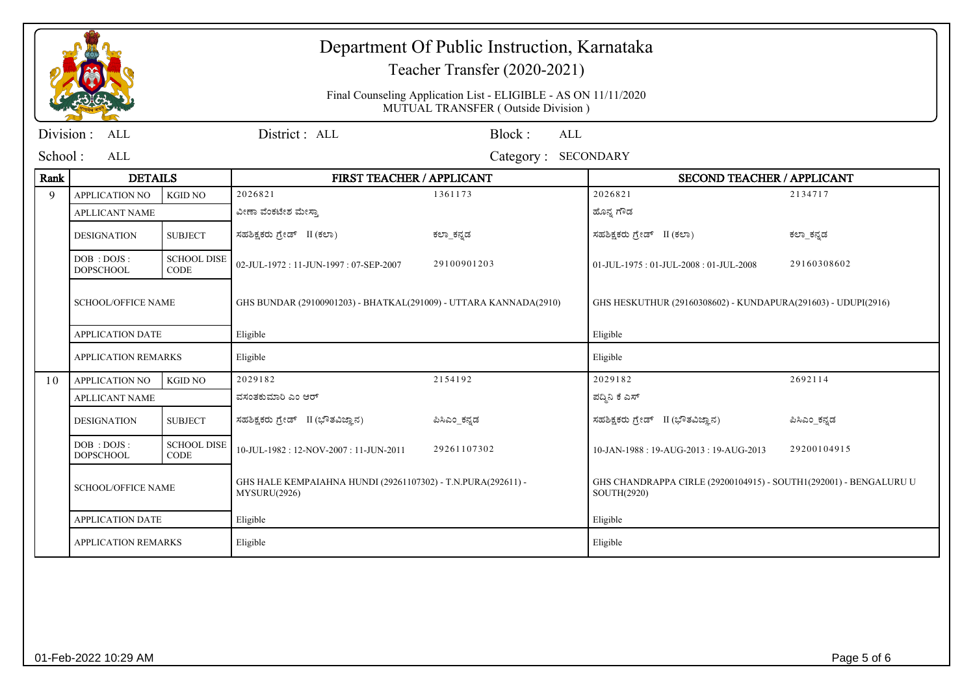|           | Department Of Public Instruction, Karnataka<br>Teacher Transfer (2020-2021) |                                   |                                                                              |                                                                                                       |                                                                                  |              |  |  |
|-----------|-----------------------------------------------------------------------------|-----------------------------------|------------------------------------------------------------------------------|-------------------------------------------------------------------------------------------------------|----------------------------------------------------------------------------------|--------------|--|--|
|           |                                                                             |                                   |                                                                              | Final Counseling Application List - ELIGIBLE - AS ON 11/11/2020<br>MUTUAL TRANSFER (Outside Division) |                                                                                  |              |  |  |
| Division: | <b>ALL</b>                                                                  |                                   | District: ALL                                                                | Block:<br><b>ALL</b>                                                                                  |                                                                                  |              |  |  |
| School:   | <b>ALL</b>                                                                  |                                   |                                                                              | Category: SECONDARY                                                                                   |                                                                                  |              |  |  |
| Rank      | <b>DETAILS</b>                                                              |                                   | FIRST TEACHER / APPLICANT                                                    |                                                                                                       | <b>SECOND TEACHER / APPLICANT</b>                                                |              |  |  |
| 9         | <b>APPLICATION NO</b>                                                       | <b>KGID NO</b>                    | 2026821                                                                      | 1361173                                                                                               | 2026821                                                                          | 2134717      |  |  |
|           | <b>APLLICANT NAME</b>                                                       |                                   | ವೀಣಾ ವೆಂಕಟೇಶ ಮೇಸ್ತಾ                                                          |                                                                                                       | ಹೊನ್ನ ಗೌಡ                                                                        |              |  |  |
|           | <b>DESIGNATION</b>                                                          | <b>SUBJECT</b>                    | ಸಹಶಿಕ್ಷಕರು ಗ್ರೇಡ್ II (ಕಲಾ)                                                   | ಕಲಾ ಕನ್ನಡ                                                                                             | ಸಹಶಿಕ್ಷಕರು ಗ್ರೇಡ್ II (ಕಲಾ)                                                       | ಕಲ್_ಕನ್ನಡ    |  |  |
|           | DOB: DOJS:<br><b>DOPSCHOOL</b>                                              | <b>SCHOOL DISE</b><br><b>CODE</b> | 02-JUL-1972: 11-JUN-1997: 07-SEP-2007                                        | 29100901203                                                                                           | 01-JUL-1975: 01-JUL-2008: 01-JUL-2008                                            | 29160308602  |  |  |
|           | <b>SCHOOL/OFFICE NAME</b><br><b>APPLICATION DATE</b>                        |                                   | GHS BUNDAR (29100901203) - BHATKAL(291009) - UTTARA KANNADA(2910)            |                                                                                                       | GHS HESKUTHUR (29160308602) - KUNDAPURA(291603) - UDUPI(2916)                    |              |  |  |
|           |                                                                             |                                   | Eligible                                                                     |                                                                                                       | Eligible                                                                         |              |  |  |
|           | <b>APPLICATION REMARKS</b>                                                  |                                   | Eligible                                                                     |                                                                                                       | Eligible                                                                         |              |  |  |
| 10        | <b>APPLICATION NO</b>                                                       | <b>KGID NO</b>                    | 2029182                                                                      | 2154192                                                                                               | 2029182                                                                          | 2692114      |  |  |
|           | <b>APLLICANT NAME</b>                                                       |                                   | ವಸಂತಕುಮಾರಿ ಎಂ ಆರ್                                                            |                                                                                                       | ಪದ್ಮಿನಿ ಕೆ ಎಸ್                                                                   |              |  |  |
|           | <b>DESIGNATION</b>                                                          | <b>SUBJECT</b>                    | ಸಹಶಿಕ್ಷಕರು ಗ್ರೇಡ್ II (ಭೌತವಿಜ್ಞಾನ)                                            | ಪಿಸಿಎಂ ಕನ್ನಡ                                                                                          | ಸಹಶಿಕ್ಷಕರು ಗ್ರೇಡ್ II (ಭೌತವಿಜ್ಞಾನ)                                                | ಪಿಸಿಎಂ_ಕನ್ನಡ |  |  |
|           | DOB : DOJS :<br><b>DOPSCHOOL</b>                                            | <b>SCHOOL DISE</b><br><b>CODE</b> | 10-JUL-1982: 12-NOV-2007: 11-JUN-2011                                        | 29261107302                                                                                           | 10-JAN-1988: 19-AUG-2013: 19-AUG-2013                                            | 29200104915  |  |  |
|           | <b>SCHOOL/OFFICE NAME</b>                                                   |                                   | GHS HALE KEMPAIAHNA HUNDI (29261107302) - T.N.PURA(292611) -<br>MYSURU(2926) |                                                                                                       | GHS CHANDRAPPA CIRLE (29200104915) - SOUTH1(292001) - BENGALURU U<br>SOUTH(2920) |              |  |  |
|           | <b>APPLICATION DATE</b>                                                     |                                   | Eligible                                                                     |                                                                                                       | Eligible                                                                         |              |  |  |
|           | <b>APPLICATION REMARKS</b>                                                  |                                   | Eligible                                                                     |                                                                                                       | Eligible                                                                         |              |  |  |